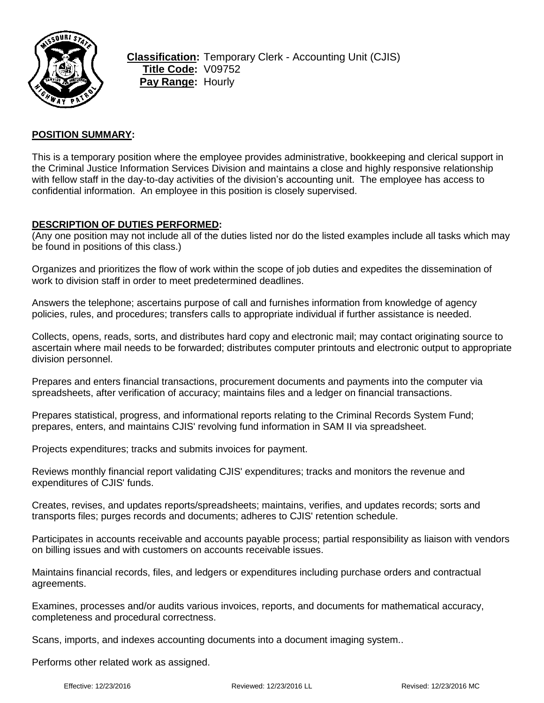

## **POSITION SUMMARY:**

This is a temporary position where the employee provides administrative, bookkeeping and clerical support in the Criminal Justice Information Services Division and maintains a close and highly responsive relationship with fellow staff in the day-to-day activities of the division's accounting unit. The employee has access to confidential information. An employee in this position is closely supervised.

#### **DESCRIPTION OF DUTIES PERFORMED:**

(Any one position may not include all of the duties listed nor do the listed examples include all tasks which may be found in positions of this class.)

Organizes and prioritizes the flow of work within the scope of job duties and expedites the dissemination of work to division staff in order to meet predetermined deadlines.

Answers the telephone; ascertains purpose of call and furnishes information from knowledge of agency policies, rules, and procedures; transfers calls to appropriate individual if further assistance is needed.

Collects, opens, reads, sorts, and distributes hard copy and electronic mail; may contact originating source to ascertain where mail needs to be forwarded; distributes computer printouts and electronic output to appropriate division personnel.

Prepares and enters financial transactions, procurement documents and payments into the computer via spreadsheets, after verification of accuracy; maintains files and a ledger on financial transactions.

Prepares statistical, progress, and informational reports relating to the Criminal Records System Fund; prepares, enters, and maintains CJIS' revolving fund information in SAM II via spreadsheet.

Projects expenditures; tracks and submits invoices for payment.

Reviews monthly financial report validating CJIS' expenditures; tracks and monitors the revenue and expenditures of CJIS' funds.

Creates, revises, and updates reports/spreadsheets; maintains, verifies, and updates records; sorts and transports files; purges records and documents; adheres to CJIS' retention schedule.

Participates in accounts receivable and accounts payable process; partial responsibility as liaison with vendors on billing issues and with customers on accounts receivable issues.

Maintains financial records, files, and ledgers or expenditures including purchase orders and contractual agreements.

Examines, processes and/or audits various invoices, reports, and documents for mathematical accuracy, completeness and procedural correctness.

Scans, imports, and indexes accounting documents into a document imaging system..

Performs other related work as assigned.